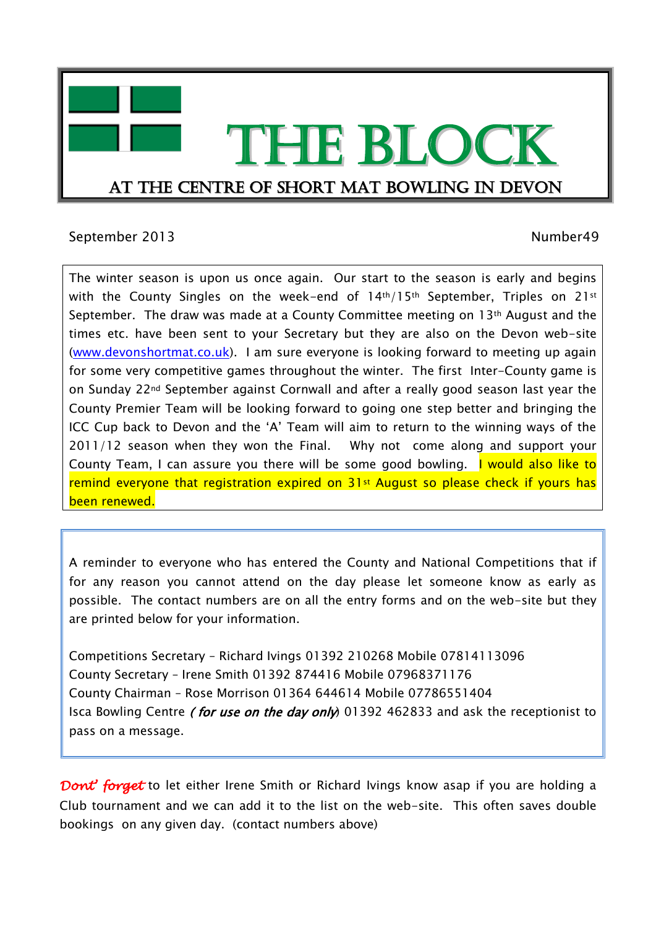

## September 2013 and the september 2013 and the separate separate separate separate separate separate separate separate separate separate separate separate separate separate separate separate separate separate separate separ

The winter season is upon us once again. Our start to the season is early and begins with the County Singles on the week-end of 14th/15th September, Triples on 21st September. The draw was made at a County Committee meeting on 13th August and the times etc. have been sent to your Secretary but they are also on the Devon web-site [\(www.devonshortmat.co.uk\)](http://www.devonshortmat.co.uk/). I am sure everyone is looking forward to meeting up again for some very competitive games throughout the winter. The first Inter-County game is on Sunday 22nd September against Cornwall and after a really good season last year the County Premier Team will be looking forward to going one step better and bringing the ICC Cup back to Devon and the 'A' Team will aim to return to the winning ways of the 2011/12 season when they won the Final. Why not come along and support your County Team, I can assure you there will be some good bowling. I would also like to remind everyone that registration expired on 31<sup>st</sup> August so please check if yours has been renewed.

A reminder to everyone who has entered the County and National Competitions that if for any reason you cannot attend on the day please let someone know as early as possible. The contact numbers are on all the entry forms and on the web-site but they are printed below for your information.

Competitions Secretary – Richard Ivings 01392 210268 Mobile 07814113096 County Secretary – Irene Smith 01392 874416 Mobile 07968371176 County Chairman – Rose Morrison 01364 644614 Mobile 07786551404 Isca Bowling Centre *(for use on the day only*) 01392 462833 and ask the receptionist to pass on a message.

*Dont' forget* to let either Irene Smith or Richard Ivings know asap if you are holding a Club tournament and we can add it to the list on the web-site. This often saves double bookings on any given day. (contact numbers above)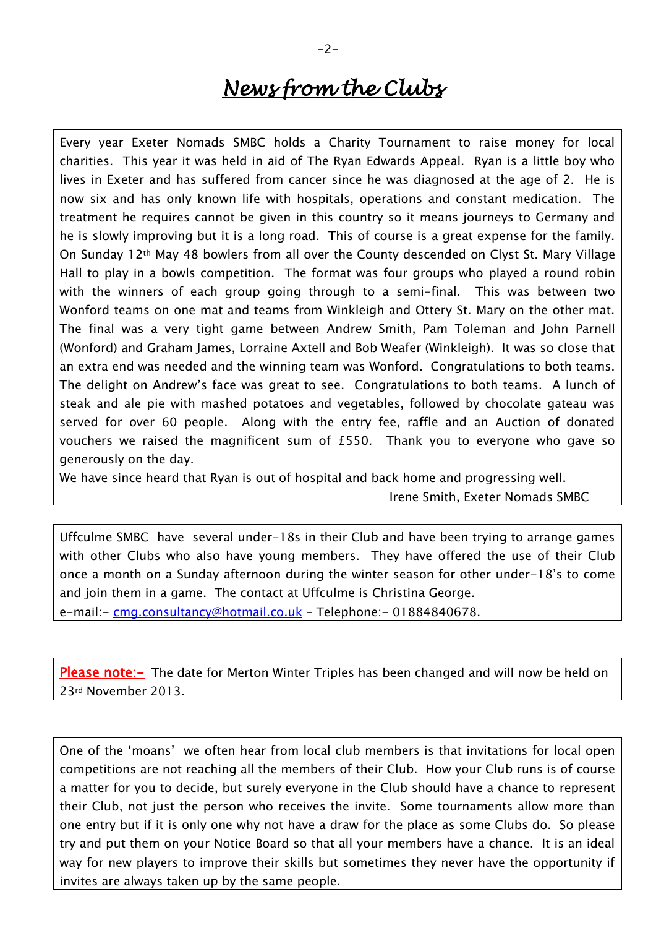# *News from the Clubs*

Every year Exeter Nomads SMBC holds a Charity Tournament to raise money for local charities. This year it was held in aid of The Ryan Edwards Appeal. Ryan is a little boy who lives in Exeter and has suffered from cancer since he was diagnosed at the age of 2. He is now six and has only known life with hospitals, operations and constant medication. The treatment he requires cannot be given in this country so it means journeys to Germany and he is slowly improving but it is a long road. This of course is a great expense for the family. On Sunday 12th May 48 bowlers from all over the County descended on Clyst St. Mary Village Hall to play in a bowls competition. The format was four groups who played a round robin with the winners of each group going through to a semi-final. This was between two Wonford teams on one mat and teams from Winkleigh and Ottery St. Mary on the other mat. The final was a very tight game between Andrew Smith, Pam Toleman and John Parnell (Wonford) and Graham James, Lorraine Axtell and Bob Weafer (Winkleigh). It was so close that an extra end was needed and the winning team was Wonford. Congratulations to both teams. The delight on Andrew's face was great to see. Congratulations to both teams. A lunch of steak and ale pie with mashed potatoes and vegetables, followed by chocolate gateau was served for over 60 people. Along with the entry fee, raffle and an Auction of donated vouchers we raised the magnificent sum of £550. Thank you to everyone who gave so generously on the day.

We have since heard that Ryan is out of hospital and back home and progressing well.

Irene Smith, Exeter Nomads SMBC

Uffculme SMBC have several under-18s in their Club and have been trying to arrange games with other Clubs who also have young members. They have offered the use of their Club once a month on a Sunday afternoon during the winter season for other under-18's to come and join them in a game. The contact at Uffculme is Christina George.

e-mail:- [cmg.consultancy@hotmail.co.uk](mailto:cmg.consultancy@hotmail.co.uk) - Telephone:- 01884840678.

**Please note:** The date for Merton Winter Triples has been changed and will now be held on 23rd November 2013.

One of the 'moans' we often hear from local club members is that invitations for local open competitions are not reaching all the members of their Club. How your Club runs is of course a matter for you to decide, but surely everyone in the Club should have a chance to represent their Club, not just the person who receives the invite. Some tournaments allow more than one entry but if it is only one why not have a draw for the place as some Clubs do. So please try and put them on your Notice Board so that all your members have a chance. It is an ideal way for new players to improve their skills but sometimes they never have the opportunity if invites are always taken up by the same people.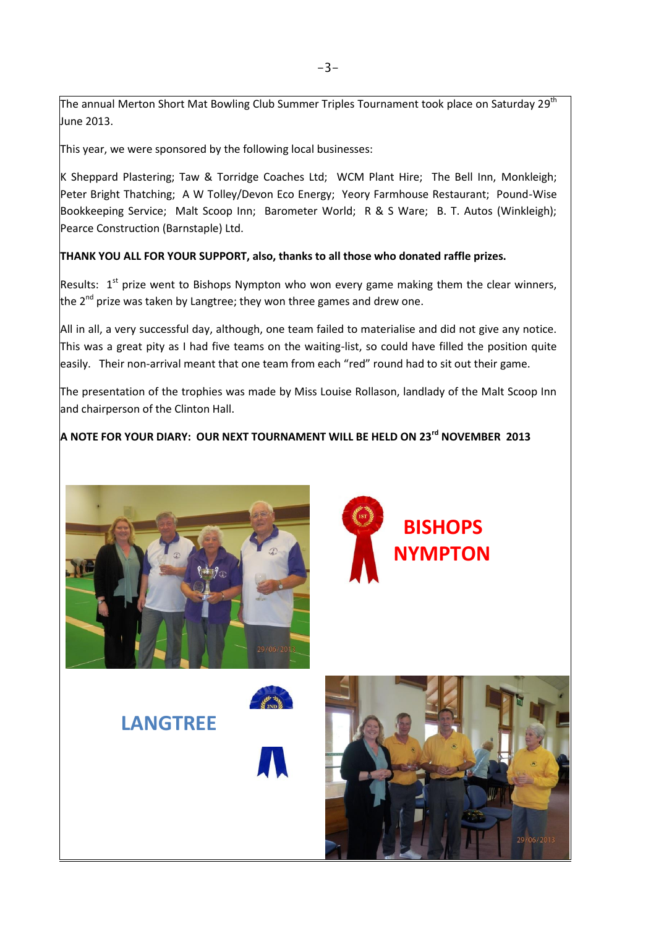The annual Merton Short Mat Bowling Club Summer Triples Tournament took place on Saturday 29<sup>th</sup> June 2013.

This year, we were sponsored by the following local businesses:

K Sheppard Plastering; Taw & Torridge Coaches Ltd; WCM Plant Hire; The Bell Inn, Monkleigh; Peter Bright Thatching; A W Tolley/Devon Eco Energy; Yeory Farmhouse Restaurant; Pound-Wise Bookkeeping Service; Malt Scoop Inn; Barometer World; R & S Ware; B. T. Autos (Winkleigh); Pearce Construction (Barnstaple) Ltd.

### **THANK YOU ALL FOR YOUR SUPPORT, also, thanks to all those who donated raffle prizes.**

Results:  $1^{st}$  prize went to Bishops Nympton who won every game making them the clear winners, the 2<sup>nd</sup> prize was taken by Langtree; they won three games and drew one.

All in all, a very successful day, although, one team failed to materialise and did not give any notice. This was a great pity as I had five teams on the waiting-list, so could have filled the position quite easily. Their non-arrival meant that one team from each "red" round had to sit out their game.

The presentation of the trophies was made by Miss Louise Rollason, landlady of the Malt Scoop Inn and chairperson of the Clinton Hall.

# **A NOTE FOR YOUR DIARY: OUR NEXT TOURNAMENT WILL BE HELD ON 23rd NOVEMBER 2013**